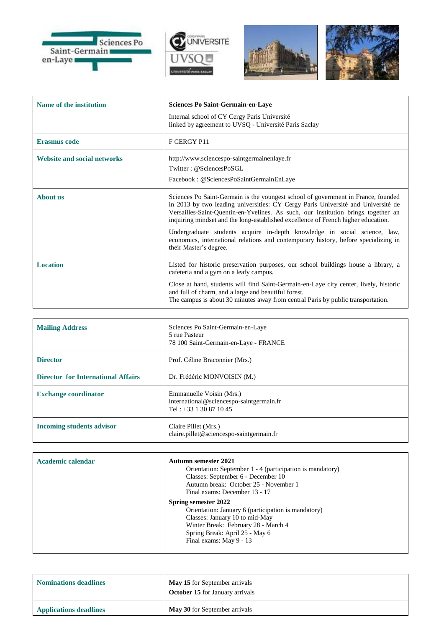







| Name of the institution            | Sciences Po Saint-Germain-en-Laye<br>Internal school of CY Cergy Paris Université                                                                                                                                                                                                                                                                                                                                                                                                                                                             |
|------------------------------------|-----------------------------------------------------------------------------------------------------------------------------------------------------------------------------------------------------------------------------------------------------------------------------------------------------------------------------------------------------------------------------------------------------------------------------------------------------------------------------------------------------------------------------------------------|
|                                    | linked by agreement to UVSQ - Université Paris Saclay                                                                                                                                                                                                                                                                                                                                                                                                                                                                                         |
| <b>Erasmus code</b>                | F CERGY P11                                                                                                                                                                                                                                                                                                                                                                                                                                                                                                                                   |
| <b>Website and social networks</b> | http://www.sciencespo-saintgermainenlaye.fr<br>Twitter: @SciencesPoSGL<br>Facebook: @SciencesPoSaintGermainEnLaye                                                                                                                                                                                                                                                                                                                                                                                                                             |
| <b>About us</b>                    | Sciences Po Saint-Germain is the youngest school of government in France, founded<br>in 2013 by two leading universities: CY Cergy Paris Université and Université de<br>Versailles-Saint-Quentin-en-Yvelines. As such, our institution brings together an<br>inquiring mindset and the long-established excellence of French higher education.<br>Undergraduate students acquire in-depth knowledge in social science, law,<br>economics, international relations and contemporary history, before specializing in<br>their Master's degree. |
| <b>Location</b>                    | Listed for historic preservation purposes, our school buildings house a library, a<br>cafeteria and a gym on a leafy campus.<br>Close at hand, students will find Saint-Germain-en-Laye city center, lively, historic<br>and full of charm, and a large and beautiful forest.<br>The campus is about 30 minutes away from central Paris by public transportation.                                                                                                                                                                             |

| <b>Mailing Address</b>                    | Sciences Po Saint-Germain-en-Laye<br>5 rue Pasteur<br>78 100 Saint-Germain-en-Laye - FRANCE      |
|-------------------------------------------|--------------------------------------------------------------------------------------------------|
| <b>Director</b>                           | Prof. Céline Braconnier (Mrs.)                                                                   |
| <b>Director for International Affairs</b> | Dr. Frédéric MONVOISIN (M.)                                                                      |
| <b>Exchange coordinator</b>               | Emmanuelle Voisin (Mrs.)<br>international@sciencespo-saintgermain.fr<br>Tel: $+33$ 1 30 87 10 45 |
| <b>Incoming students advisor</b>          | Claire Pillet (Mrs.)<br>claire.pillet@sciencespo-saintgermain.fr                                 |

| Academic calendar | <b>Autumn semester 2021</b><br>Orientation: September 1 - 4 (participation is mandatory)<br>Classes: September 6 - December 10<br>Autumn break: October 25 - November 1<br>Final exams: December 13 - 17          |
|-------------------|-------------------------------------------------------------------------------------------------------------------------------------------------------------------------------------------------------------------|
|                   | Spring semester 2022<br>Orientation: January 6 (participation is mandatory)<br>Classes: January 10 to mid-May<br>Winter Break: February 28 - March 4<br>Spring Break: April 25 - May 6<br>Final exams: May 9 - 13 |

| <b>Nominations deadlines</b>  | May 15 for September arrivals<br><b>October 15</b> for January arrivals |
|-------------------------------|-------------------------------------------------------------------------|
| <b>Applications deadlines</b> | May 30 for September arrivals                                           |